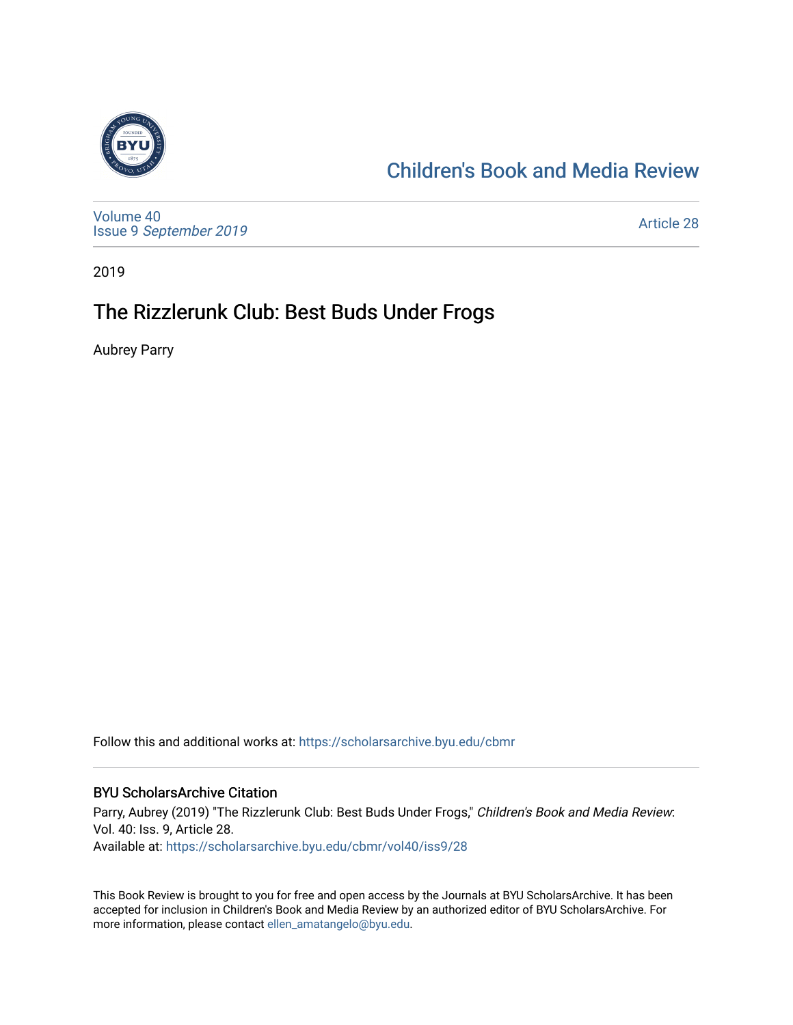

### [Children's Book and Media Review](https://scholarsarchive.byu.edu/cbmr)

[Volume 40](https://scholarsarchive.byu.edu/cbmr/vol40) Issue 9 [September 2019](https://scholarsarchive.byu.edu/cbmr/vol40/iss9) 

[Article 28](https://scholarsarchive.byu.edu/cbmr/vol40/iss9/28) 

2019

### The Rizzlerunk Club: Best Buds Under Frogs

Aubrey Parry

Follow this and additional works at: [https://scholarsarchive.byu.edu/cbmr](https://scholarsarchive.byu.edu/cbmr?utm_source=scholarsarchive.byu.edu%2Fcbmr%2Fvol40%2Fiss9%2F28&utm_medium=PDF&utm_campaign=PDFCoverPages) 

#### BYU ScholarsArchive Citation

Parry, Aubrey (2019) "The Rizzlerunk Club: Best Buds Under Frogs," Children's Book and Media Review: Vol. 40: Iss. 9, Article 28. Available at: [https://scholarsarchive.byu.edu/cbmr/vol40/iss9/28](https://scholarsarchive.byu.edu/cbmr/vol40/iss9/28?utm_source=scholarsarchive.byu.edu%2Fcbmr%2Fvol40%2Fiss9%2F28&utm_medium=PDF&utm_campaign=PDFCoverPages)

This Book Review is brought to you for free and open access by the Journals at BYU ScholarsArchive. It has been accepted for inclusion in Children's Book and Media Review by an authorized editor of BYU ScholarsArchive. For more information, please contact [ellen\\_amatangelo@byu.edu.](mailto:ellen_amatangelo@byu.edu)